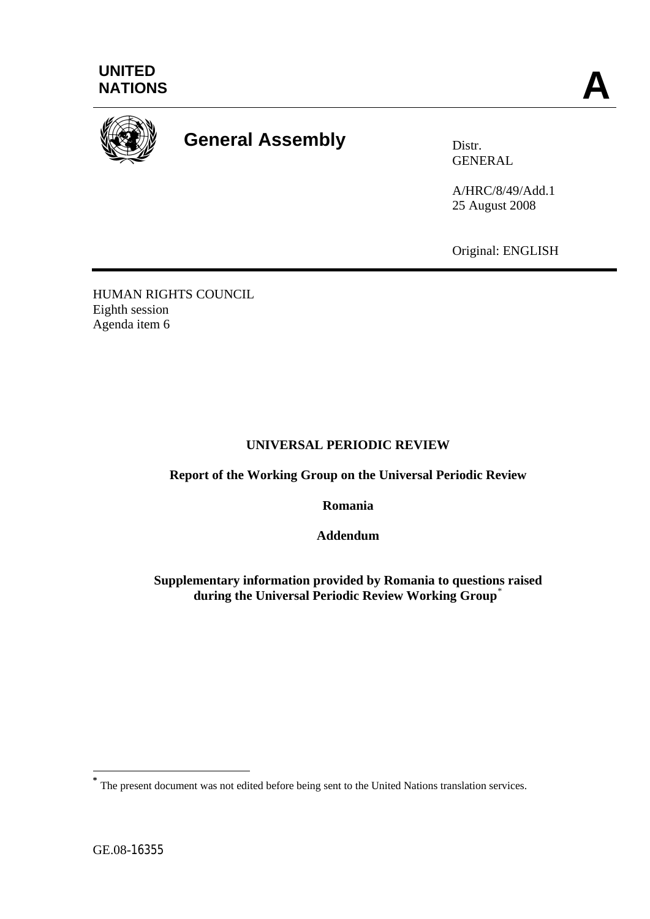



# **General Assembly** Distr.

GENERAL

A/HRC/8/49/Add.1 25 August 2008

Original: ENGLISH

HUMAN RIGHTS COUNCIL Eighth session Agenda item 6

## **UNIVERSAL PERIODIC REVIEW**

**Report of the Working Group on the Universal Periodic Review** 

**Romania** 

**Addendum** 

**Supplementary information provided by Romania to questions raised during the Universal Periodic Review Working Group**[\\*](#page-0-0)

1

<span id="page-0-0"></span>The present document was not edited before being sent to the United Nations translation services.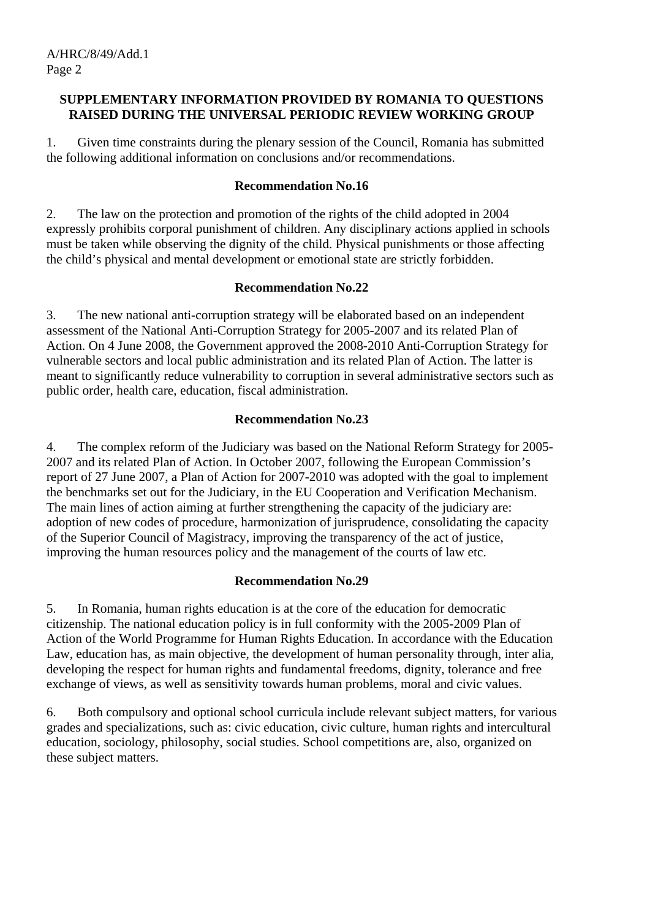#### **SUPPLEMENTARY INFORMATION PROVIDED BY ROMANIA TO QUESTIONS RAISED DURING THE UNIVERSAL PERIODIC REVIEW WORKING GROUP**

1. Given time constraints during the plenary session of the Council, Romania has submitted the following additional information on conclusions and/or recommendations.

#### **Recommendation No.16**

2. The law on the protection and promotion of the rights of the child adopted in 2004 expressly prohibits corporal punishment of children. Any disciplinary actions applied in schools must be taken while observing the dignity of the child. Physical punishments or those affecting the child's physical and mental development or emotional state are strictly forbidden.

## **Recommendation No.22**

3. The new national anti-corruption strategy will be elaborated based on an independent assessment of the National Anti-Corruption Strategy for 2005-2007 and its related Plan of Action. On 4 June 2008, the Government approved the 2008-2010 Anti-Corruption Strategy for vulnerable sectors and local public administration and its related Plan of Action. The latter is meant to significantly reduce vulnerability to corruption in several administrative sectors such as public order, health care, education, fiscal administration.

# **Recommendation No.23**

4. The complex reform of the Judiciary was based on the National Reform Strategy for 2005- 2007 and its related Plan of Action. In October 2007, following the European Commission's report of 27 June 2007, a Plan of Action for 2007-2010 was adopted with the goal to implement the benchmarks set out for the Judiciary, in the EU Cooperation and Verification Mechanism. The main lines of action aiming at further strengthening the capacity of the judiciary are: adoption of new codes of procedure, harmonization of jurisprudence, consolidating the capacity of the Superior Council of Magistracy, improving the transparency of the act of justice, improving the human resources policy and the management of the courts of law etc.

# **Recommendation No.29**

5. In Romania, human rights education is at the core of the education for democratic citizenship. The national education policy is in full conformity with the 2005-2009 Plan of Action of the World Programme for Human Rights Education. In accordance with the Education Law, education has, as main objective, the development of human personality through, inter alia, developing the respect for human rights and fundamental freedoms, dignity, tolerance and free exchange of views, as well as sensitivity towards human problems, moral and civic values.

6. Both compulsory and optional school curricula include relevant subject matters, for various grades and specializations, such as: civic education, civic culture, human rights and intercultural education, sociology, philosophy, social studies. School competitions are, also, organized on these subject matters.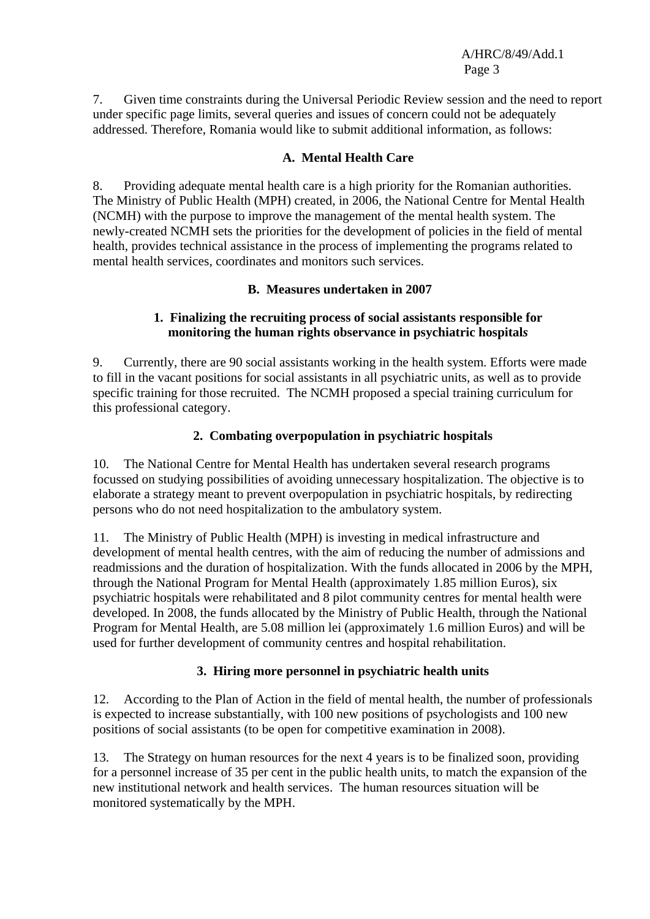7. Given time constraints during the Universal Periodic Review session and the need to report under specific page limits, several queries and issues of concern could not be adequately addressed. Therefore, Romania would like to submit additional information, as follows:

#### **A. Mental Health Care**

8. Providing adequate mental health care is a high priority for the Romanian authorities. The Ministry of Public Health (MPH) created, in 2006, the National Centre for Mental Health (NCMH) with the purpose to improve the management of the mental health system. The newly-created NCMH sets the priorities for the development of policies in the field of mental health, provides technical assistance in the process of implementing the programs related to mental health services, coordinates and monitors such services.

## **B. Measures undertaken in 2007**

## **1. Finalizing the recruiting process of social assistants responsible for monitoring the human rights observance in psychiatric hospital***s*

9. Currently, there are 90 social assistants working in the health system. Efforts were made to fill in the vacant positions for social assistants in all psychiatric units, as well as to provide specific training for those recruited. The NCMH proposed a special training curriculum for this professional category.

# **2. Combating overpopulation in psychiatric hospitals**

10. The National Centre for Mental Health has undertaken several research programs focussed on studying possibilities of avoiding unnecessary hospitalization. The objective is to elaborate a strategy meant to prevent overpopulation in psychiatric hospitals, by redirecting persons who do not need hospitalization to the ambulatory system.

11. The Ministry of Public Health (MPH) is investing in medical infrastructure and development of mental health centres, with the aim of reducing the number of admissions and readmissions and the duration of hospitalization. With the funds allocated in 2006 by the MPH, through the National Program for Mental Health (approximately 1.85 million Euros), six psychiatric hospitals were rehabilitated and 8 pilot community centres for mental health were developed. In 2008, the funds allocated by the Ministry of Public Health, through the National Program for Mental Health, are 5.08 million lei (approximately 1.6 million Euros) and will be used for further development of community centres and hospital rehabilitation.

#### **3. Hiring more personnel in psychiatric health units**

12. According to the Plan of Action in the field of mental health, the number of professionals is expected to increase substantially, with 100 new positions of psychologists and 100 new positions of social assistants (to be open for competitive examination in 2008).

13. The Strategy on human resources for the next 4 years is to be finalized soon, providing for a personnel increase of 35 per cent in the public health units, to match the expansion of the new institutional network and health services. The human resources situation will be monitored systematically by the MPH.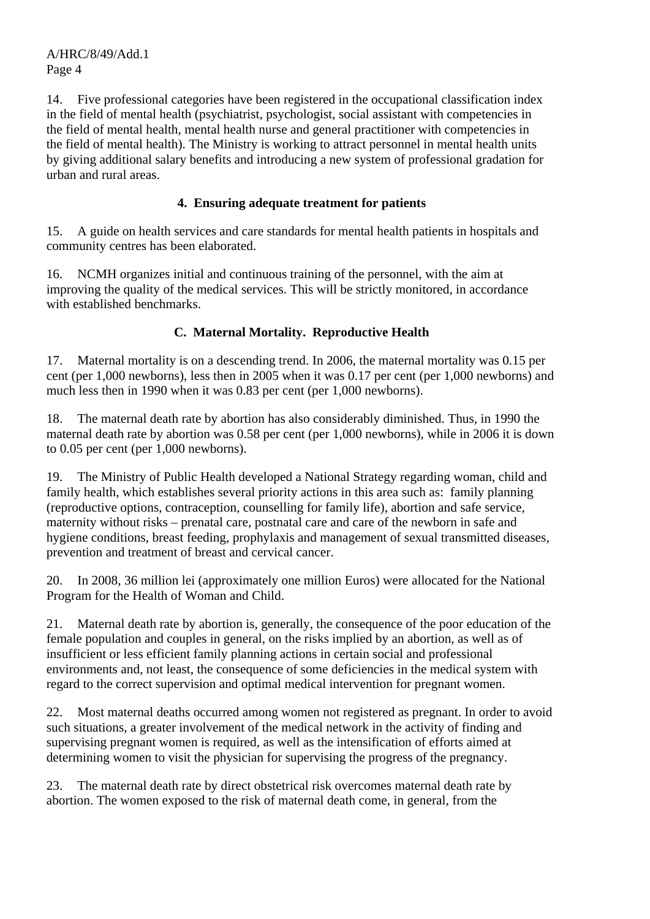14. Five professional categories have been registered in the occupational classification index in the field of mental health (psychiatrist, psychologist, social assistant with competencies in the field of mental health, mental health nurse and general practitioner with competencies in the field of mental health). The Ministry is working to attract personnel in mental health units by giving additional salary benefits and introducing a new system of professional gradation for urban and rural areas.

## **4. Ensuring adequate treatment for patients**

15. A guide on health services and care standards for mental health patients in hospitals and community centres has been elaborated.

16. NCMH organizes initial and continuous training of the personnel, with the aim at improving the quality of the medical services. This will be strictly monitored, in accordance with established benchmarks.

# **C. Maternal Mortality. Reproductive Health**

17. Maternal mortality is on a descending trend. In 2006, the maternal mortality was 0.15 per cent (per 1,000 newborns), less then in 2005 when it was 0.17 per cent (per 1,000 newborns) and much less then in 1990 when it was 0.83 per cent (per 1,000 newborns).

18. The maternal death rate by abortion has also considerably diminished. Thus, in 1990 the maternal death rate by abortion was 0.58 per cent (per 1,000 newborns), while in 2006 it is down to 0.05 per cent (per 1,000 newborns).

19. The Ministry of Public Health developed a National Strategy regarding woman, child and family health, which establishes several priority actions in this area such as: family planning (reproductive options, contraception, counselling for family life), abortion and safe service, maternity without risks – prenatal care, postnatal care and care of the newborn in safe and hygiene conditions, breast feeding, prophylaxis and management of sexual transmitted diseases, prevention and treatment of breast and cervical cancer.

20. In 2008, 36 million lei (approximately one million Euros) were allocated for the National Program for the Health of Woman and Child.

21. Maternal death rate by abortion is, generally, the consequence of the poor education of the female population and couples in general, on the risks implied by an abortion, as well as of insufficient or less efficient family planning actions in certain social and professional environments and, not least, the consequence of some deficiencies in the medical system with regard to the correct supervision and optimal medical intervention for pregnant women.

22. Most maternal deaths occurred among women not registered as pregnant. In order to avoid such situations, a greater involvement of the medical network in the activity of finding and supervising pregnant women is required, as well as the intensification of efforts aimed at determining women to visit the physician for supervising the progress of the pregnancy.

23. The maternal death rate by direct obstetrical risk overcomes maternal death rate by abortion. The women exposed to the risk of maternal death come, in general, from the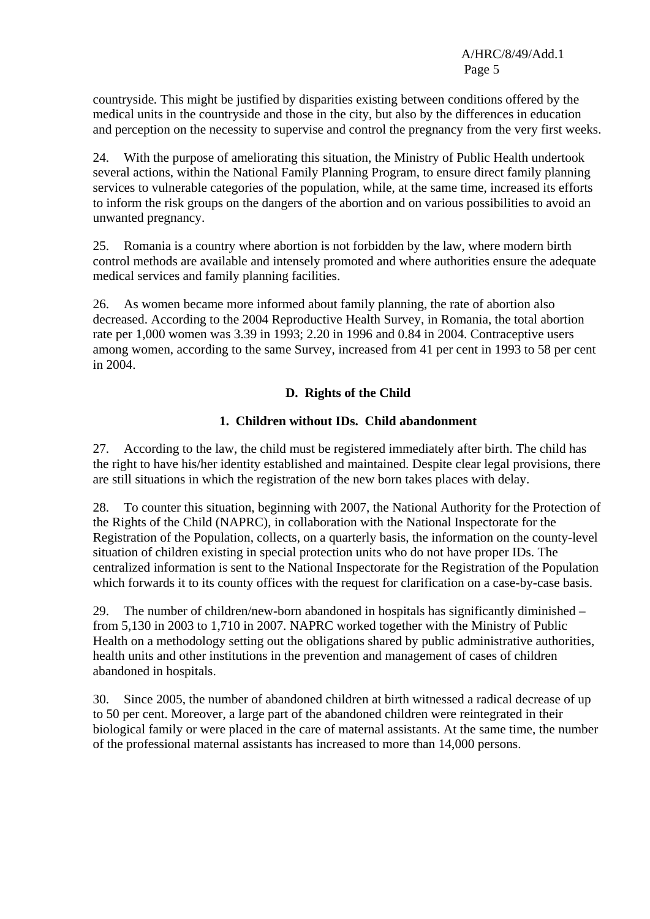countryside*.* This might be justified by disparities existing between conditions offered by the medical units in the countryside and those in the city, but also by the differences in education and perception on the necessity to supervise and control the pregnancy from the very first weeks.

24. With the purpose of ameliorating this situation, the Ministry of Public Health undertook several actions, within the National Family Planning Program, to ensure direct family planning services to vulnerable categories of the population, while, at the same time, increased its efforts to inform the risk groups on the dangers of the abortion and on various possibilities to avoid an unwanted pregnancy.

25. Romania is a country where abortion is not forbidden by the law, where modern birth control methods are available and intensely promoted and where authorities ensure the adequate medical services and family planning facilities.

26. As women became more informed about family planning, the rate of abortion also decreased. According to the 2004 Reproductive Health Survey, in Romania, the total abortion rate per 1,000 women was 3.39 in 1993; 2.20 in 1996 and 0.84 in 2004. Contraceptive users among women, according to the same Survey, increased from 41 per cent in 1993 to 58 per cent in 2004.

## **D. Rights of the Child**

## **1. Children without IDs. Child abandonment**

27. According to the law, the child must be registered immediately after birth. The child has the right to have his/her identity established and maintained. Despite clear legal provisions, there are still situations in which the registration of the new born takes places with delay.

28. To counter this situation, beginning with 2007, the National Authority for the Protection of the Rights of the Child (NAPRC), in collaboration with the National Inspectorate for the Registration of the Population, collects, on a quarterly basis, the information on the county-level situation of children existing in special protection units who do not have proper IDs. The centralized information is sent to the National Inspectorate for the Registration of the Population which forwards it to its county offices with the request for clarification on a case-by-case basis.

 29. The number of children/new-born abandoned in hospitals has significantly diminished – from 5,130 in 2003 to 1,710 in 2007. NAPRC worked together with the Ministry of Public Health on a methodology setting out the obligations shared by public administrative authorities, health units and other institutions in the prevention and management of cases of children abandoned in hospitals.

30. Since 2005, the number of abandoned children at birth witnessed a radical decrease of up to 50 per cent. Moreover, a large part of the abandoned children were reintegrated in their biological family or were placed in the care of maternal assistants. At the same time, the number of the professional maternal assistants has increased to more than 14,000 persons.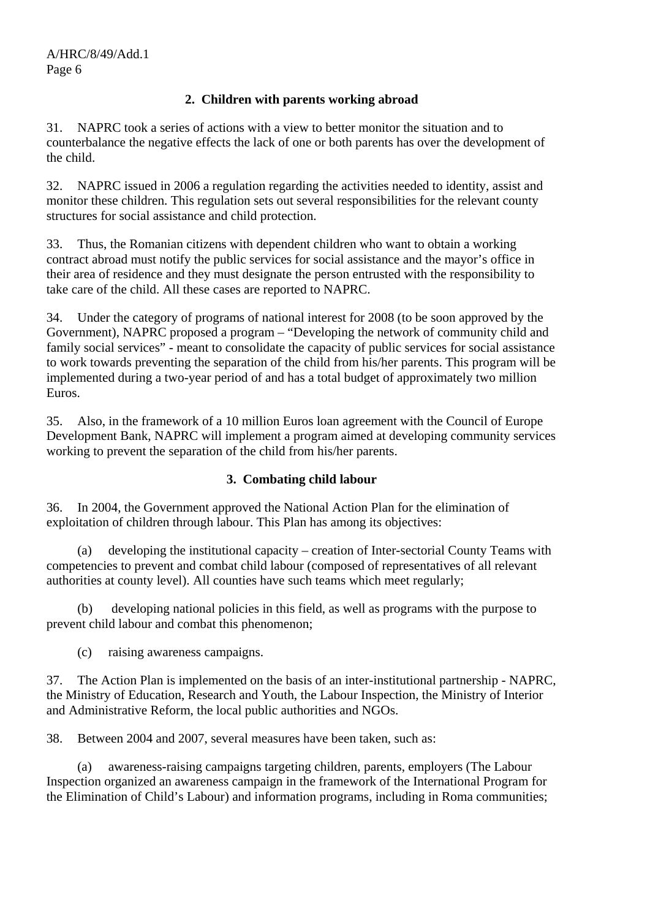# **2. Children with parents working abroad**

31. NAPRC took a series of actions with a view to better monitor the situation and to counterbalance the negative effects the lack of one or both parents has over the development of the child.

 32. NAPRC issued in 2006 a regulation regarding the activities needed to identity, assist and monitor these children. This regulation sets out several responsibilities for the relevant county structures for social assistance and child protection.

33. Thus, the Romanian citizens with dependent children who want to obtain a working contract abroad must notify the public services for social assistance and the mayor's office in their area of residence and they must designate the person entrusted with the responsibility to take care of the child. All these cases are reported to NAPRC.

34. Under the category of programs of national interest for 2008 (to be soon approved by the Government), NAPRC proposed a program – "Developing the network of community child and family social services" - meant to consolidate the capacity of public services for social assistance to work towards preventing the separation of the child from his/her parents. This program will be implemented during a two-year period of and has a total budget of approximately two million Euros.

35. Also, in the framework of a 10 million Euros loan agreement with the Council of Europe Development Bank, NAPRC will implement a program aimed at developing community services working to prevent the separation of the child from his/her parents.

# **3. Combating child labour**

36. In 2004, the Government approved the National Action Plan for the elimination of exploitation of children through labour. This Plan has among its objectives:

 (a) developing the institutional capacity – creation of Inter-sectorial County Teams with competencies to prevent and combat child labour (composed of representatives of all relevant authorities at county level). All counties have such teams which meet regularly;

 (b) developing national policies in this field, as well as programs with the purpose to prevent child labour and combat this phenomenon;

(c) raising awareness campaigns.

37. The Action Plan is implemented on the basis of an inter-institutional partnership - NAPRC, the Ministry of Education, Research and Youth, the Labour Inspection, the Ministry of Interior and Administrative Reform, the local public authorities and NGOs.

38. Between 2004 and 2007, several measures have been taken, such as:

 (a) awareness-raising campaigns targeting children, parents, employers (The Labour Inspection organized an awareness campaign in the framework of the International Program for the Elimination of Child's Labour) and information programs, including in Roma communities;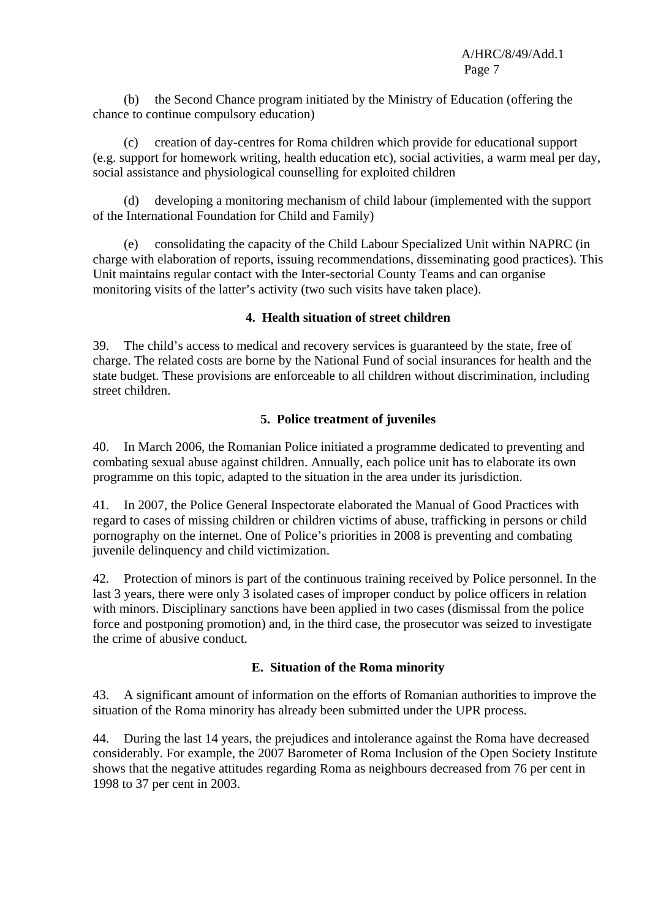(b) the Second Chance program initiated by the Ministry of Education (offering the chance to continue compulsory education)

 (c) creation of day-centres for Roma children which provide for educational support (e.g. support for homework writing, health education etc), social activities, a warm meal per day, social assistance and physiological counselling for exploited children

 (d) developing a monitoring mechanism of child labour (implemented with the support of the International Foundation for Child and Family)

 (e) consolidating the capacity of the Child Labour Specialized Unit within NAPRC (in charge with elaboration of reports, issuing recommendations, disseminating good practices). This Unit maintains regular contact with the Inter-sectorial County Teams and can organise monitoring visits of the latter's activity (two such visits have taken place).

# **4. Health situation of street children**

39. The child's access to medical and recovery services is guaranteed by the state, free of charge. The related costs are borne by the National Fund of social insurances for health and the state budget. These provisions are enforceable to all children without discrimination, including street children.

# **5. Police treatment of juveniles**

40. In March 2006, the Romanian Police initiated a programme dedicated to preventing and combating sexual abuse against children. Annually, each police unit has to elaborate its own programme on this topic, adapted to the situation in the area under its jurisdiction.

41. In 2007, the Police General Inspectorate elaborated the Manual of Good Practices with regard to cases of missing children or children victims of abuse, trafficking in persons or child pornography on the internet. One of Police's priorities in 2008 is preventing and combating juvenile delinquency and child victimization.

42. Protection of minors is part of the continuous training received by Police personnel. In the last 3 years, there were only 3 isolated cases of improper conduct by police officers in relation with minors. Disciplinary sanctions have been applied in two cases (dismissal from the police force and postponing promotion) and, in the third case, the prosecutor was seized to investigate the crime of abusive conduct.

# **E. Situation of the Roma minority**

43. A significant amount of information on the efforts of Romanian authorities to improve the situation of the Roma minority has already been submitted under the UPR process.

44. During the last 14 years, the prejudices and intolerance against the Roma have decreased considerably. For example, the 2007 Barometer of Roma Inclusion of the Open Society Institute shows that the negative attitudes regarding Roma as neighbours decreased from 76 per cent in 1998 to 37 per cent in 2003.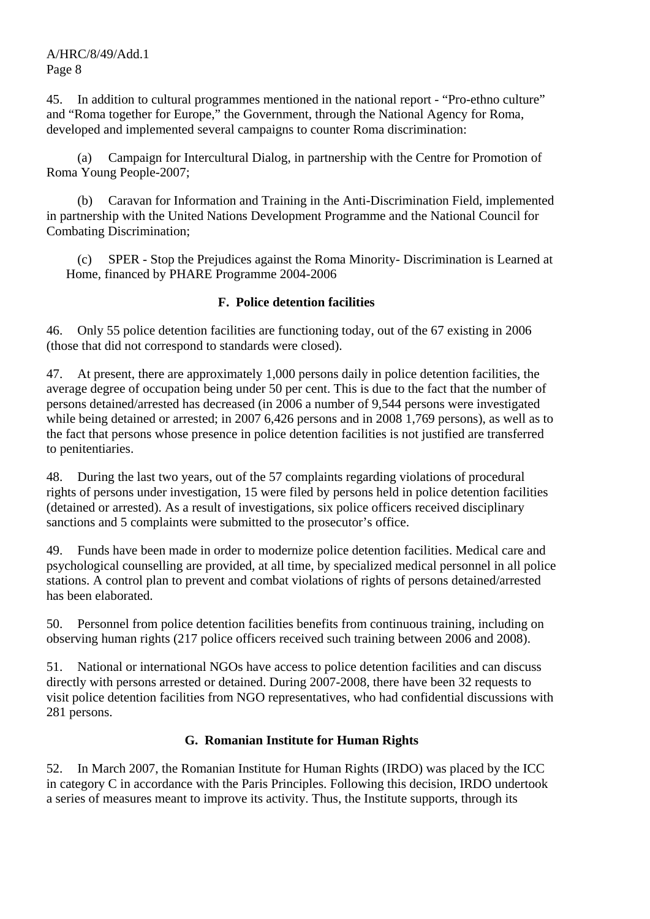45. In addition to cultural programmes mentioned in the national report - "Pro-ethno culture" and "Roma together for Europe," the Government, through the National Agency for Roma, developed and implemented several campaigns to counter Roma discrimination:

 (a) Campaign for Intercultural Dialog, in partnership with the Centre for Promotion of Roma Young People-2007;

 (b) Caravan for Information and Training in the Anti-Discrimination Field, implemented in partnership with the United Nations Development Programme and the National Council for Combating Discrimination;

 (c) SPER - Stop the Prejudices against the Roma Minority- Discrimination is Learned at Home, financed by PHARE Programme 2004-2006

## **F. Police detention facilities**

46. Only 55 police detention facilities are functioning today, out of the 67 existing in 2006 (those that did not correspond to standards were closed).

47. At present, there are approximately 1,000 persons daily in police detention facilities, the average degree of occupation being under 50 per cent. This is due to the fact that the number of persons detained/arrested has decreased (in 2006 a number of 9,544 persons were investigated while being detained or arrested; in 2007 6,426 persons and in 2008 1,769 persons), as well as to the fact that persons whose presence in police detention facilities is not justified are transferred to penitentiaries.

48. During the last two years, out of the 57 complaints regarding violations of procedural rights of persons under investigation, 15 were filed by persons held in police detention facilities (detained or arrested). As a result of investigations, six police officers received disciplinary sanctions and 5 complaints were submitted to the prosecutor's office.

49. Funds have been made in order to modernize police detention facilities. Medical care and psychological counselling are provided, at all time, by specialized medical personnel in all police stations. A control plan to prevent and combat violations of rights of persons detained/arrested has been elaborated.

50. Personnel from police detention facilities benefits from continuous training, including on observing human rights (217 police officers received such training between 2006 and 2008).

51. National or international NGOs have access to police detention facilities and can discuss directly with persons arrested or detained. During 2007-2008, there have been 32 requests to visit police detention facilities from NGO representatives, who had confidential discussions with 281 persons.

# **G. Romanian Institute for Human Rights**

52. In March 2007, the Romanian Institute for Human Rights (IRDO) was placed by the ICC in category C in accordance with the Paris Principles. Following this decision, IRDO undertook a series of measures meant to improve its activity. Thus, the Institute supports, through its